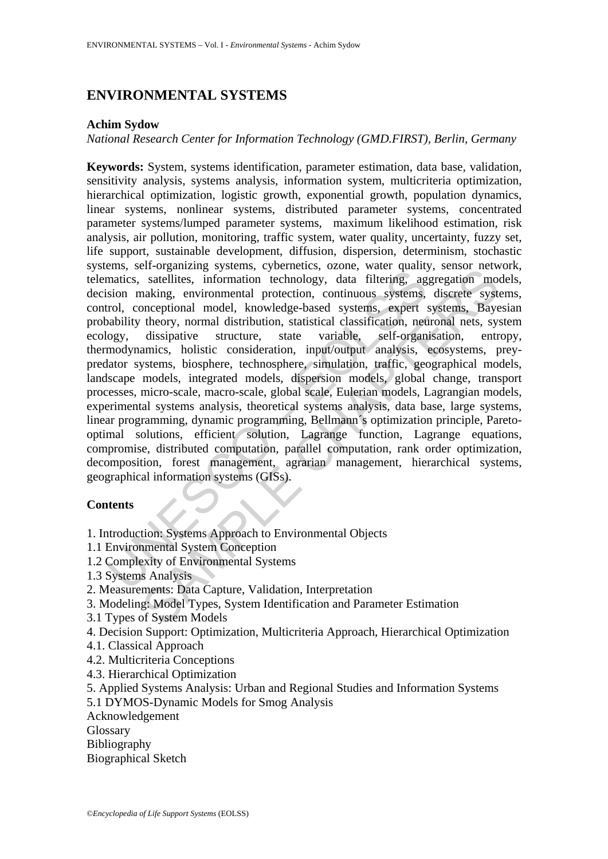# **ENVIRONMENTAL SYSTEMS**

#### **Achim Sydow**

*National Research Center for Information Technology (GMD.FIRST), Berlin, Germany* 

ena, sen organing systems, youcheeste, occured, and a matics, satellites, information technology, data filtering, ag<br>sion making, environmental protection, continuous systems,<br>rivol, conceptional model, knowledge-based sys Entroguisming systems, vyoculettes, vzonc, wact quantity, stastor networks, and statellites, information technology, data filtering, aggregation monaking, environmental protection, continuous systems, discrete systemes exp **Keywords:** System, systems identification, parameter estimation, data base, validation, sensitivity analysis, systems analysis, information system, multicriteria optimization, hierarchical optimization, logistic growth, exponential growth, population dynamics, linear systems, nonlinear systems, distributed parameter systems, concentrated parameter systems/lumped parameter systems, maximum likelihood estimation, risk analysis, air pollution, monitoring, traffic system, water quality, uncertainty, fuzzy set, life support, sustainable development, diffusion, dispersion, determinism, stochastic systems, self-organizing systems, cybernetics, ozone, water quality, sensor network, telematics, satellites, information technology, data filtering, aggregation models, decision making, environmental protection, continuous systems, discrete systems, control, conceptional model, knowledge-based systems, expert systems, Bayesian probability theory, normal distribution, statistical classification, neuronal nets, system ecology, dissipative structure, state variable, self-organisation, entropy, thermodynamics, holistic consideration, input/output analysis, ecosystems, preypredator systems, biosphere, technosphere, simulation, traffic, geographical models, landscape models, integrated models, dispersion models, global change, transport processes, micro-scale, macro-scale, global scale, Eulerian models, Lagrangian models, experimental systems analysis, theoretical systems analysis, data base, large systems, linear programming, dynamic programming, Bellmann´s optimization principle, Paretooptimal solutions, efficient solution, Lagrange function, Lagrange equations, compromise, distributed computation, parallel computation, rank order optimization, decomposition, forest management, agrarian management, hierarchical systems, geographical information systems (GISs).

# **Contents**

1. Introduction: Systems Approach to Environmental Objects

- 1.1 Environmental System Conception
- 1.2 Complexity of Environmental Systems
- 1.3 Systems Analysis
- 2. Measurements: Data Capture, Validation, Interpretation
- 3. Modeling: Model Types, System Identification and Parameter Estimation
- 3.1 Types of System Models
- 4. Decision Support: Optimization, Multicriteria Approach, Hierarchical Optimization
- 4.1. Classical Approach
- 4.2. Multicriteria Conceptions
- 4.3. Hierarchical Optimization
- 5. Applied Systems Analysis: Urban and Regional Studies and Information Systems 5.1 DYMOS-Dynamic Models for Smog Analysis

Acknowledgement

**Glossary** 

Bibliography

Biographical Sketch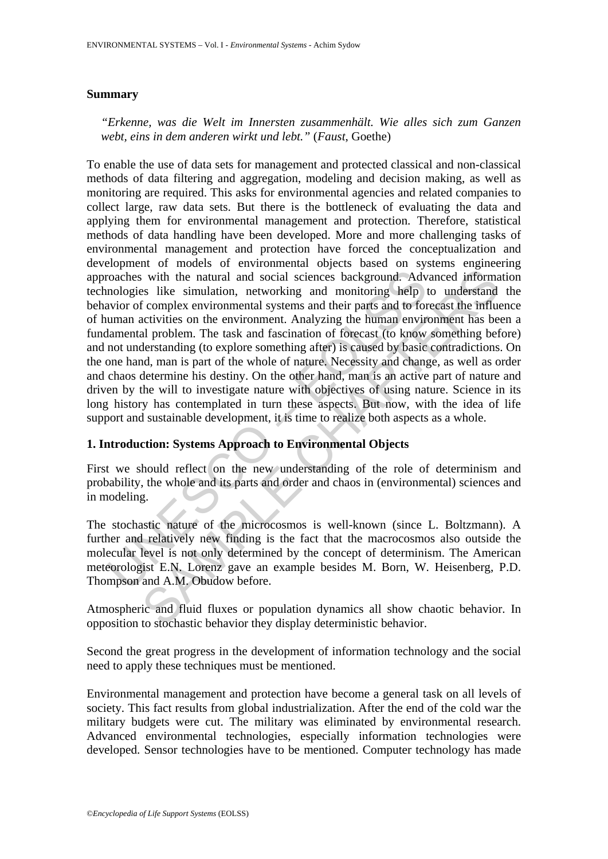## **Summary**

*"Erkenne, was die Welt im Innersten zusammenhält. Wie alles sich zum Ganzen webt, eins in dem anderen wirkt und lebt."* (*Faust*, Goethe)

roaches with the natural and social sciences background. Adv<br>nologies like simulation, networking and monitoring help l<br>avior of complex environmental systems and their parts and to for<br>uman activities on the environment. is with the natural and social sciences background. Advanced informates like simulation, networking and monitoring help to understand diverses in f complex environmental systems and their parts and to forecast the influenc To enable the use of data sets for management and protected classical and non-classical methods of data filtering and aggregation, modeling and decision making, as well as monitoring are required. This asks for environmental agencies and related companies to collect large, raw data sets. But there is the bottleneck of evaluating the data and applying them for environmental management and protection. Therefore, statistical methods of data handling have been developed. More and more challenging tasks of environmental management and protection have forced the conceptualization and development of models of environmental objects based on systems engineering approaches with the natural and social sciences background. Advanced information technologies like simulation, networking and monitoring help to understand the behavior of complex environmental systems and their parts and to forecast the influence of human activities on the environment. Analyzing the human environment has been a fundamental problem. The task and fascination of forecast (to know something before) and not understanding (to explore something after) is caused by basic contradictions. On the one hand, man is part of the whole of nature. Necessity and change, as well as order and chaos determine his destiny. On the other hand, man is an active part of nature and driven by the will to investigate nature with objectives of using nature. Science in its long history has contemplated in turn these aspects. But now, with the idea of life support and sustainable development, it is time to realize both aspects as a whole.

# **1. Introduction: Systems Approach to Environmental Objects**

First we should reflect on the new understanding of the role of determinism and probability, the whole and its parts and order and chaos in (environmental) sciences and in modeling.

The stochastic nature of the microcosmos is well-known (since L. Boltzmann). A further and relatively new finding is the fact that the macrocosmos also outside the molecular level is not only determined by the concept of determinism. The American meteorologist E.N. Lorenz gave an example besides M. Born, W. Heisenberg, P.D. Thompson and A.M. Obudow before.

Atmospheric and fluid fluxes or population dynamics all show chaotic behavior. In opposition to stochastic behavior they display deterministic behavior.

Second the great progress in the development of information technology and the social need to apply these techniques must be mentioned.

Environmental management and protection have become a general task on all levels of society. This fact results from global industrialization. After the end of the cold war the military budgets were cut. The military was eliminated by environmental research. Advanced environmental technologies, especially information technologies were developed. Sensor technologies have to be mentioned. Computer technology has made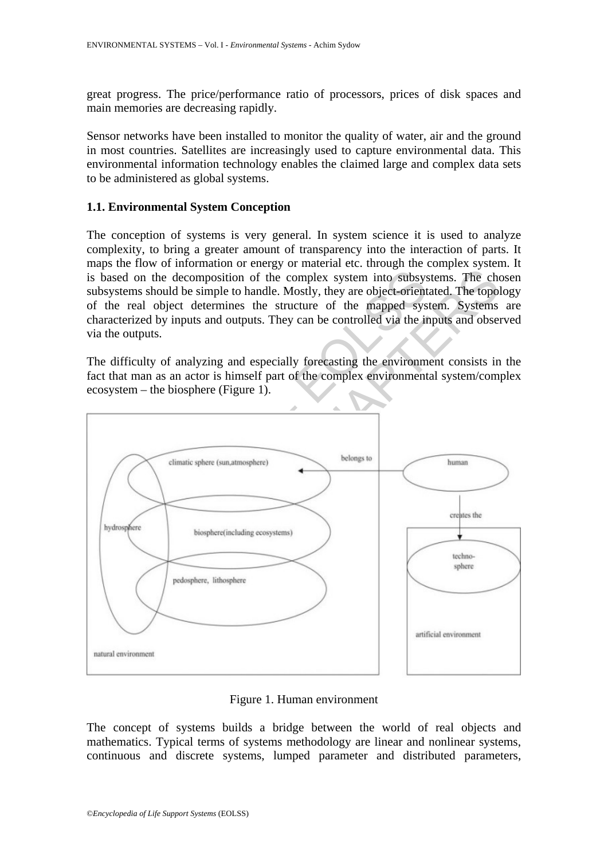great progress. The price/performance ratio of processors, prices of disk spaces and main memories are decreasing rapidly.

Sensor networks have been installed to monitor the quality of water, air and the ground in most countries. Satellites are increasingly used to capture environmental data. This environmental information technology enables the claimed large and complex data sets to be administered as global systems.

## **1.1. Environmental System Conception**

The conception of systems is very general. In system science it is used to analyze complexity, to bring a greater amount of transparency into the interaction of parts. It maps the flow of information or energy or material etc. through the complex system. It is based on the decomposition of the complex system into subsystems. The chosen subsystems should be simple to handle. Mostly, they are object-orientated. The topology of the real object determines the structure of the mapped system. Systems are characterized by inputs and outputs. They can be controlled via the inputs and observed via the outputs.

The difficulty of analyzing and especially forecasting the environment consists in the fact that man as an actor is himself part of the complex environmental system/complex ecosystem – the biosphere (Figure 1).



Figure 1. Human environment

The concept of systems builds a bridge between the world of real objects and mathematics. Typical terms of systems methodology are linear and nonlinear systems, continuous and discrete systems, lumped parameter and distributed parameters,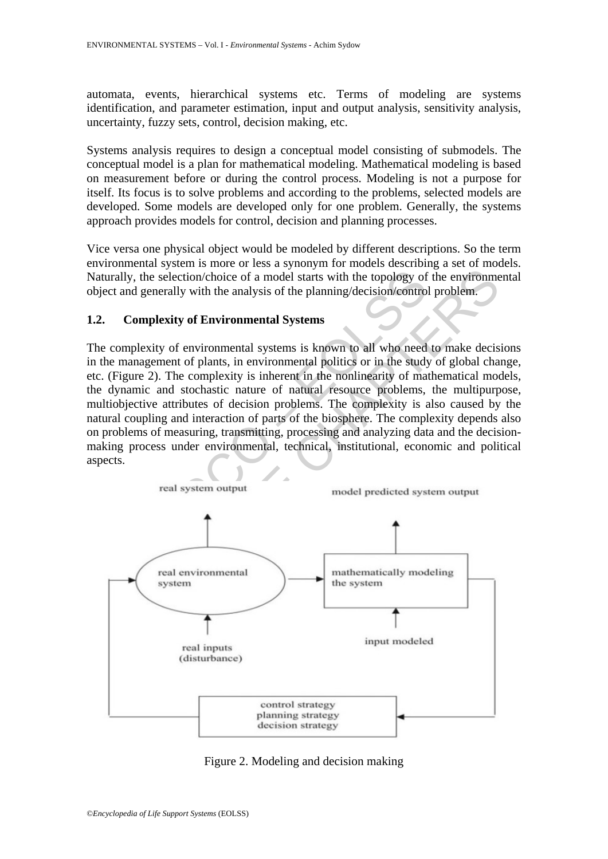automata, events, hierarchical systems etc. Terms of modeling are systems identification, and parameter estimation, input and output analysis, sensitivity analysis, uncertainty, fuzzy sets, control, decision making, etc.

Systems analysis requires to design a conceptual model consisting of submodels. The conceptual model is a plan for mathematical modeling. Mathematical modeling is based on measurement before or during the control process. Modeling is not a purpose for itself. Its focus is to solve problems and according to the problems, selected models are developed. Some models are developed only for one problem. Generally, the systems approach provides models for control, decision and planning processes.

Vice versa one physical object would be modeled by different descriptions. So the term environmental system is more or less a synonym for models describing a set of models. Naturally, the selection/choice of a model starts with the topology of the environmental object and generally with the analysis of the planning/decision/control problem.

## **1.2. Complexity of Environmental Systems**

Unity, the selection/choice of a model starts with the topology of<br>cct and generally with the analysis of the planning/decision/contro<br>Complexity of Environmental Systems<br>complexity of Environmental systems<br>complexity of e The complexity of environmental systems is known to all who need to make decisions in the management of plants, in environmental politics or in the study of global change, etc. (Figure 2). The complexity is inherent in the nonlinearity of mathematical models, the dynamic and stochastic nature of natural resource problems, the multipurpose, multiobjective attributes of decision problems. The complexity is also caused by the natural coupling and interaction of parts of the biosphere. The complexity depends also on problems of measuring, transmitting, processing and analyzing data and the decisionmaking process under environmental, technical, institutional, economic and political aspects.



Figure 2. Modeling and decision making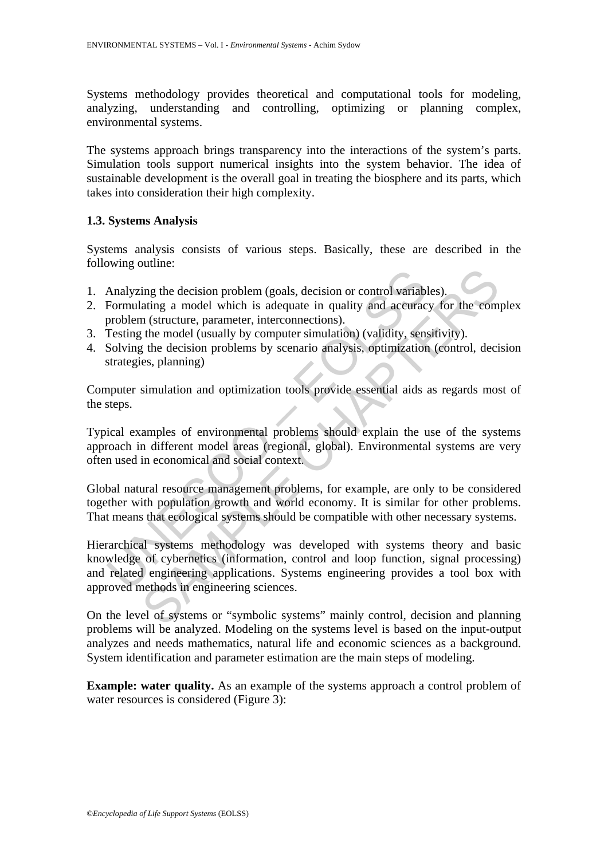Systems methodology provides theoretical and computational tools for modeling, analyzing, understanding and controlling, optimizing or planning complex, environmental systems.

The systems approach brings transparency into the interactions of the system's parts. Simulation tools support numerical insights into the system behavior. The idea of sustainable development is the overall goal in treating the biosphere and its parts, which takes into consideration their high complexity.

# **1.3. Systems Analysis**

Systems analysis consists of various steps. Basically, these are described in the following outline:

- 1. Analyzing the decision problem (goals, decision or control variables).
- 2. Formulating a model which is adequate in quality and accuracy for the complex problem (structure, parameter, interconnections).
- 3. Testing the model (usually by computer simulation) (validity, sensitivity).
- 4. Solving the decision problems by scenario analysis, optimization (control, decision strategies, planning)

Computer simulation and optimization tools provide essential aids as regards most of the steps.

Typical examples of environmental problems should explain the use of the systems approach in different model areas (regional, global). Environmental systems are very often used in economical and social context.

Global natural resource management problems, for example, are only to be considered together with population growth and world economy. It is similar for other problems. That means that ecological systems should be compatible with other necessary systems.

Analyzing the decision problem (goals, decision or control variable<br>Formulating a model which is adequate in quality and accurac<br>problem (structure, parameter, interconnections).<br>Testing the model (usually by computer simu Example the decision problem (goals, decision or control variables).<br>
aing a a model which is adequate in quality and accuracy for the com<br>
a (structure, parameter, interconnections).<br>
(the model (usually by computer simul Hierarchical systems methodology was developed with systems theory and basic knowledge of cybernetics (information, control and loop function, signal processing) and related engineering applications. Systems engineering provides a tool box with approved methods in engineering sciences.

On the level of systems or "symbolic systems" mainly control, decision and planning problems will be analyzed. Modeling on the systems level is based on the input-output analyzes and needs mathematics, natural life and economic sciences as a background. System identification and parameter estimation are the main steps of modeling.

**Example: water quality.** As an example of the systems approach a control problem of water resources is considered (Figure 3):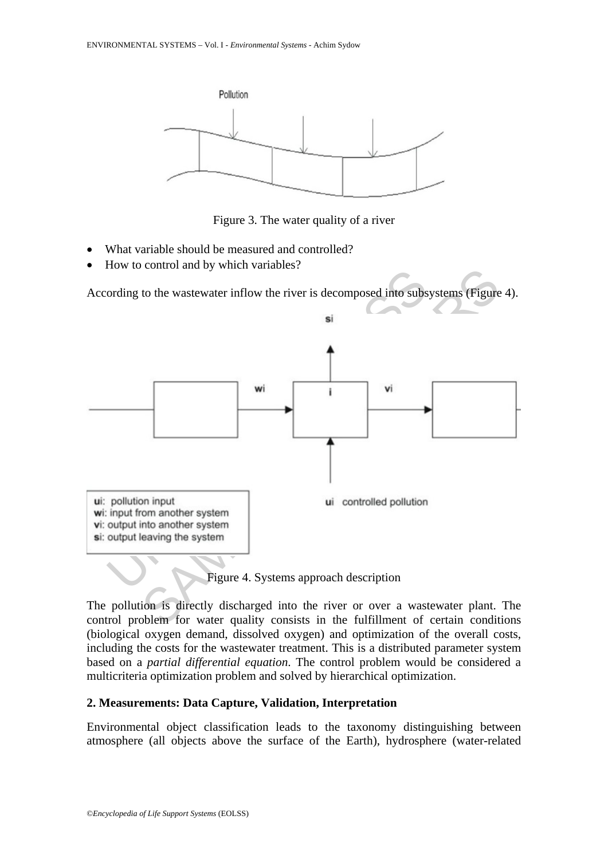

Figure 3. The water quality of a river

- What variable should be measured and controlled?
- How to control and by which variables?

According to the wastewater inflow the river is decomposed into subsystems (Figure 4).



Figure 4. Systems approach description

The pollution is directly discharged into the river or over a wastewater plant. The control problem for water quality consists in the fulfillment of certain conditions (biological oxygen demand, dissolved oxygen) and optimization of the overall costs, including the costs for the wastewater treatment. This is a distributed parameter system based on a *partial differential equation*. The control problem would be considered a multicriteria optimization problem and solved by hierarchical optimization.

#### **2. Measurements: Data Capture, Validation, Interpretation**

Environmental object classification leads to the taxonomy distinguishing between atmosphere (all objects above the surface of the Earth), hydrosphere (water-related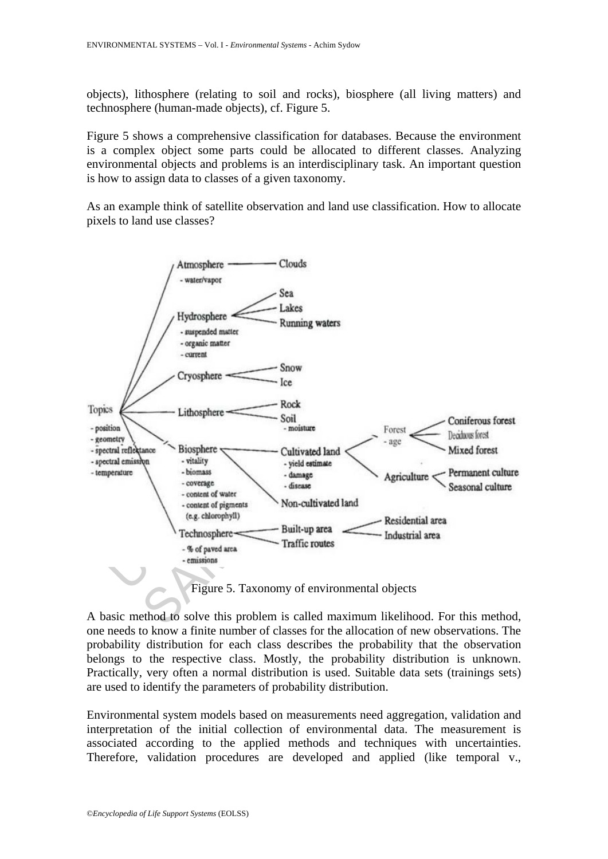objects), lithosphere (relating to soil and rocks), biosphere (all living matters) and technosphere (human-made objects), cf. Figure 5.

Figure 5 shows a comprehensive classification for databases. Because the environment is a complex object some parts could be allocated to different classes. Analyzing environmental objects and problems is an interdisciplinary task. An important question is how to assign data to classes of a given taxonomy.

As an example think of satellite observation and land use classification. How to allocate pixels to land use classes?



Figure 5. Taxonomy of environmental objects

A basic method to solve this problem is called maximum likelihood. For this method, one needs to know a finite number of classes for the allocation of new observations. The probability distribution for each class describes the probability that the observation belongs to the respective class. Mostly, the probability distribution is unknown. Practically, very often a normal distribution is used. Suitable data sets (trainings sets) are used to identify the parameters of probability distribution.

Environmental system models based on measurements need aggregation, validation and interpretation of the initial collection of environmental data. The measurement is associated according to the applied methods and techniques with uncertainties. Therefore, validation procedures are developed and applied (like temporal v.,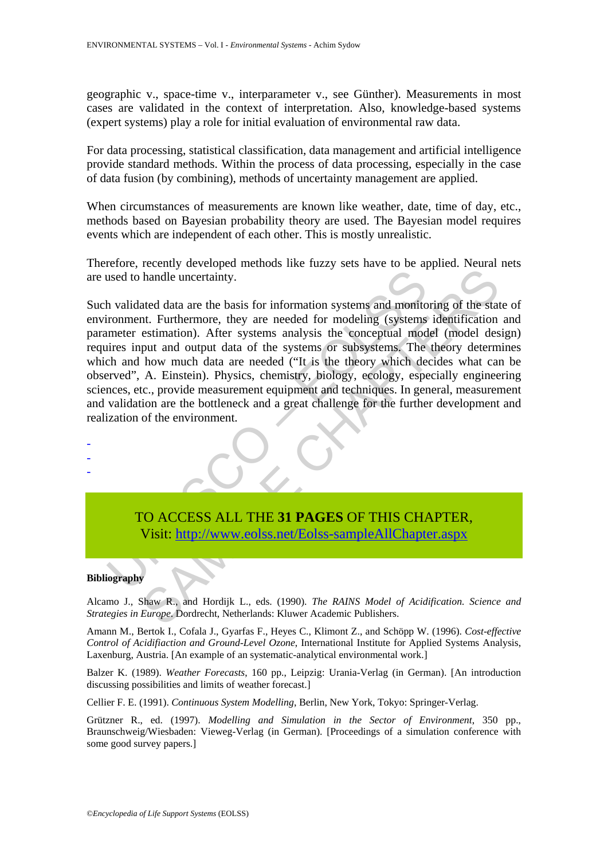geographic v., space-time v., interparameter v., see Günther). Measurements in most cases are validated in the context of interpretation. Also, knowledge-based systems (expert systems) play a role for initial evaluation of environmental raw data.

For data processing, statistical classification, data management and artificial intelligence provide standard methods. Within the process of data processing, especially in the case of data fusion (by combining), methods of uncertainty management are applied.

When circumstances of measurements are known like weather, date, time of day, etc., methods based on Bayesian probability theory are used. The Bayesian model requires events which are independent of each other. This is mostly unrealistic.

Therefore, recently developed methods like fuzzy sets have to be applied. Neural nets are used to handle uncertainty.

used to handle uncertainty.<br>
In validated data are the basis for information systems and monitor<br>
ironment. Furthermore, they are needed for modeling (systems<br>
innerer estimation). After systems analysis the conceptual mod handle uncertainty.<br>
handle uncertainty.<br>
ated data are the basis for information systems and monitoring of the stant.<br>
Furthermore, they are needed for modeling (systems identification<br>
estimation). After systems analysis Such validated data are the basis for information systems and monitoring of the state of environment. Furthermore, they are needed for modeling (systems identification and parameter estimation). After systems analysis the conceptual model (model design) requires input and output data of the systems or subsystems. The theory determines which and how much data are needed ("It is the theory which decides what can be observed", A. Einstein). Physics, chemistry, biology, ecology, especially engineering sciences, etc., provide measurement equipment and techniques. In general, measurement and validation are the bottleneck and a great challenge for the further development and realization of the environment.

TO ACCESS ALL THE **31 PAGES** OF THIS CHAPTER, Visit: http://www.eolss.net/Eolss-sampleAllChapter.aspx

#### **Bibliography**

- - -

Alcamo J., Shaw R., and Hordijk L., eds. (1990). *The RAINS Model of Acidification. Science and Strategies in Europe*. Dordrecht, Netherlands: Kluwer Academic Publishers.

Amann M., Bertok I., Cofala J., Gyarfas F., Heyes C., Klimont Z., and Schöpp W. (1996). *Cost-effective Control of Acidifiaction and Ground-Level Ozone*, International Institute for Applied Systems Analysis, Laxenburg, Austria. [An example of an systematic-analytical environmental work.]

Balzer K. (1989). *Weather Forecasts*, 160 pp., Leipzig: Urania-Verlag (in German). [An introduction discussing possibilities and limits of weather forecast.]

Cellier F. E. (1991). *Continuous System Modelling*, Berlin, New York, Tokyo: Springer-Verlag.

Grützner R., ed. (1997). *Modelling and Simulation in the Sector of Environment*, 350 pp., Braunschweig/Wiesbaden: Vieweg-Verlag (in German). [Proceedings of a simulation conference with some good survey papers.]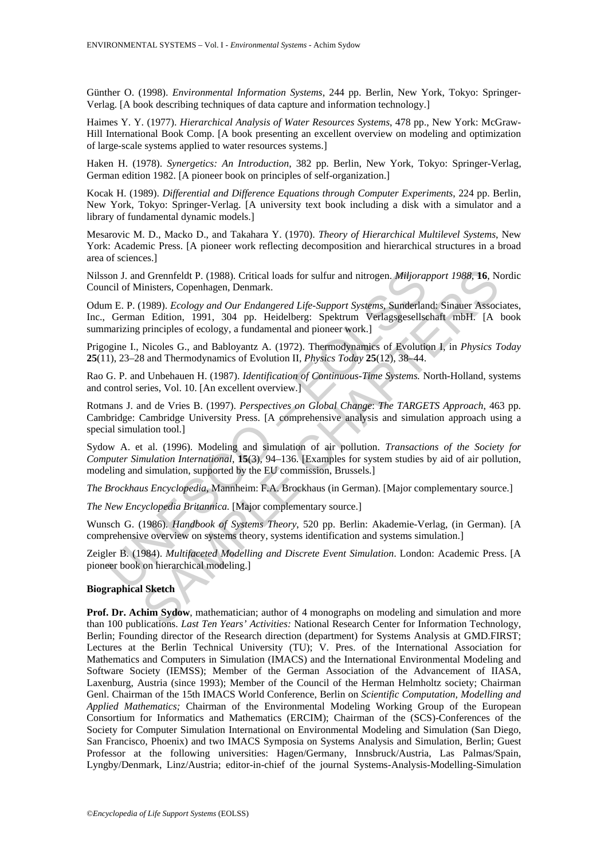Günther O. (1998). *Environmental Information Systems*, 244 pp. Berlin, New York, Tokyo: Springer-Verlag. [A book describing techniques of data capture and information technology.]

Haimes Y. Y. (1977). *Hierarchical Analysis of Water Resources Systems*, 478 pp., New York: McGraw-Hill International Book Comp. [A book presenting an excellent overview on modeling and optimization of large-scale systems applied to water resources systems.]

Haken H. (1978). *Synergetics: An Introduction*, 382 pp. Berlin, New York, Tokyo: Springer-Verlag, German edition 1982. [A pioneer book on principles of self-organization.]

Kocak H. (1989). *Differential and Difference Equations through Computer Experiments*, 224 pp. Berlin, New York, Tokyo: Springer-Verlag. [A university text book including a disk with a simulator and a library of fundamental dynamic models.]

Mesarovic M. D., Macko D., and Takahara Y. (1970). *Theory of Hierarchical Multilevel Systems*, New York: Academic Press. [A pioneer work reflecting decomposition and hierarchical structures in a broad area of sciences.]

Nilsson J. and Grennfeldt P. (1988). Critical loads for sulfur and nitrogen. *Miljorapport 1988,* **16**, Nordic Council of Ministers, Copenhagen, Denmark.

on J. and Grennfeldt P. (1988). Critical loads for sulfur and nitrogen. *Miljora*<br>
ricil of Ministers, Copenhagen, Denmark.<br>
m. E. P. (1989). *Ecology and Our Endangered Life-Support Systems*, Sunderlant<br>
German Edition, 1 d Grennfeldt P. (1988). Critical loads for sulfur and nitrogen. *Miljorapport 1988*, 16, N<br>
imisters, Copenhagen, Denmark.<br>
1985). *Ecology and Our Endangered Life-Support Systems*, Sunderland: Sinauer Assoc<br>
n Edition, 19 Odum E. P. (1989). *Ecology and Our Endangered Life-Support Systems*, Sunderland: Sinauer Associates, Inc., German Edition, 1991, 304 pp. Heidelberg: Spektrum Verlagsgesellschaft mbH. [A book summarizing principles of ecology, a fundamental and pioneer work.]

Prigogine I., Nicoles G., and Babloyantz A. (1972). Thermodynamics of Evolution I, in *Physics Today* **25**(11), 23–28 and Thermodynamics of Evolution II, *Physics Today* **25**(12), 38–44.

Rao G. P. and Unbehauen H. (1987). *Identification of Continuous-Time Systems.* North-Holland, systems and control series, Vol. 10. [An excellent overview.]

Rotmans J. and de Vries B. (1997). *Perspectives on Global Change*: *The TARGETS Approach*, 463 pp. Cambridge: Cambridge University Press. [A comprehensive analysis and simulation approach using a special simulation tool.]

Sydow A. et al. (1996). Modeling and simulation of air pollution. *Transactions of the Society for Computer Simulation International*, **15**(3), 94–136. [Examples for system studies by aid of air pollution, modeling and simulation, supported by the EU commission, Brussels.]

*The Brockhaus Encyclopedia*, Mannheim: F.A. Brockhaus (in German). [Major complementary source.]

*The New Encyclopedia Britannica.* [Major complementary source.]

Wunsch G. (1986). *Handbook of Systems Theory*, 520 pp. Berlin: Akademie-Verlag, (in German). [A comprehensive overview on systems theory, systems identification and systems simulation.]

Zeigler B. (1984). *Multifaceted Modelling and Discrete Event Simulation*. London: Academic Press. [A pioneer book on hierarchical modeling.]

#### **Biographical Sketch**

**Prof. Dr. Achim Sydow**, mathematician; author of 4 monographs on modeling and simulation and more than 100 publications. *Last Ten Years' Activities:* National Research Center for Information Technology, Berlin; Founding director of the Research direction (department) for Systems Analysis at GMD.FIRST; Lectures at the Berlin Technical University (TU); V. Pres. of the International Association for Mathematics and Computers in Simulation (IMACS) and the International Environmental Modeling and Software Society (IEMSS); Member of the German Association of the Advancement of IIASA, Laxenburg, Austria (since 1993); Member of the Council of the Herman Helmholtz society; Chairman Genl. Chairman of the 15th IMACS World Conference, Berlin on *Scientific Computation, Modelling and Applied Mathematics;* Chairman of the Environmental Modeling Working Group of the European Consortium for Informatics and Mathematics (ERCIM); Chairman of the (SCS)-Conferences of the Society for Computer Simulation International on Environmental Modeling and Simulation (San Diego, San Francisco, Phoenix) and two IMACS Symposia on Systems Analysis and Simulation, Berlin; Guest Professor at the following universities: Hagen/Germany, Innsbruck/Austria, Las Palmas/Spain, Lyngby/Denmark, Linz/Austria; editor-in-chief of the journal Systems-Analysis-Modelling-Simulation